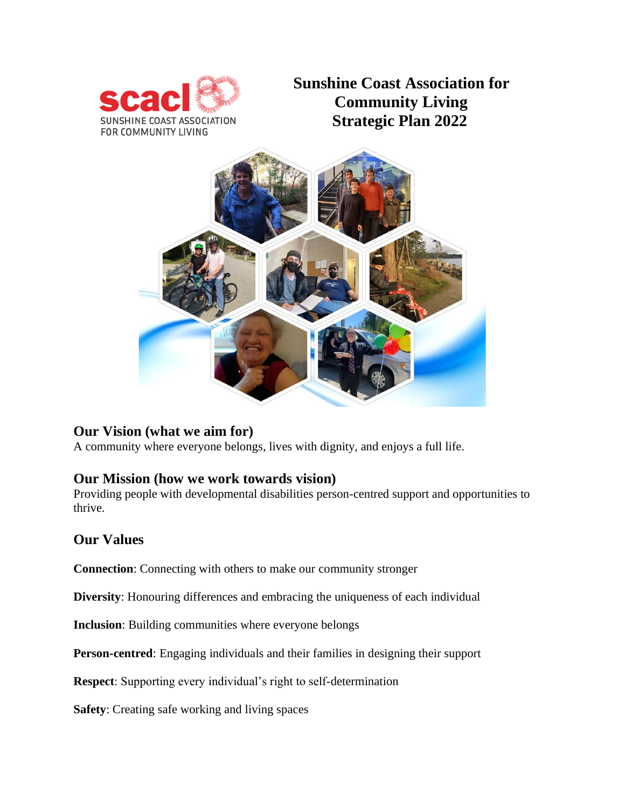

**Sunshine Coast Association for Community Living Strategic Plan 2022**



## **Our Vision (what we aim for)**

A community where everyone belongs, lives with dignity, and enjoys a full life.

### **Our Mission (how we work towards vision)**

Providing people with developmental disabilities person-centred support and opportunities to thrive.

### **Our Values**

**Connection**: Connecting with others to make our community stronger

**Diversity**: Honouring differences and embracing the uniqueness of each individual

**Inclusion**: Building communities where everyone belongs

**Person-centred**: Engaging individuals and their families in designing their support

**Respect**: Supporting every individual's right to self-determination

**Safety**: Creating safe working and living spaces